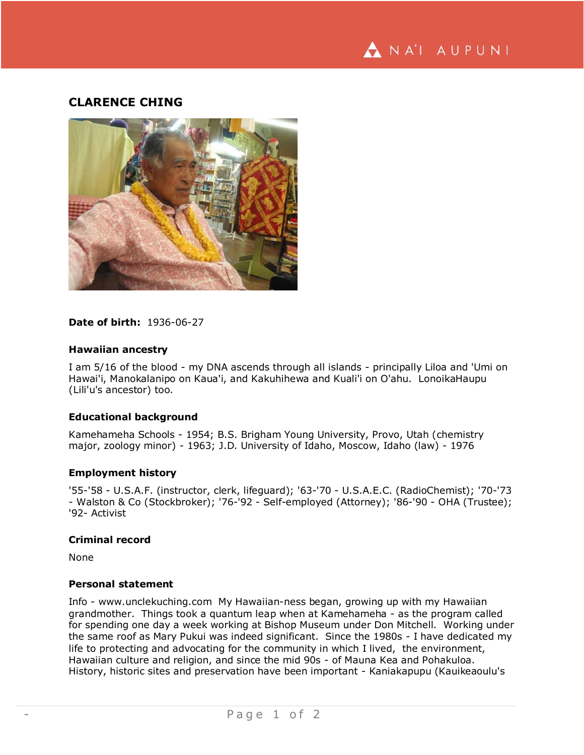NA'I AUPUNI

# **CLARENCE CHING**



## **Date of birth:** 1936-06-27

#### **Hawaiian ancestry**

I am 5/16 of the blood - my DNA ascends through all islands - principally Liloa and 'Umi on Hawai'i, Manokalanipo on Kaua'i, and Kakuhihewa and Kuali'i on O'ahu. LonoikaHaupu (Lili'u's ancestor) too.

## **Educational background**

Kamehameha Schools - 1954; B.S. Brigham Young University, Provo, Utah (chemistry major, zoology minor) - 1963; J.D. University of Idaho, Moscow, Idaho (law) - 1976

#### **Employment history**

'55-'58 - U.S.A.F. (instructor, clerk, lifeguard); '63-'70 - U.S.A.E.C. (RadioChemist); '70-'73 - Walston & Co (Stockbroker); '76-'92 - Self-employed (Attorney); '86-'90 - OHA (Trustee); '92- Activist

#### **Criminal record**

None

#### **Personal statement**

Info - www.unclekuching.com My Hawaiian-ness began, growing up with my Hawaiian grandmother. Things took a quantum leap when at Kamehameha - as the program called for spending one day a week working at Bishop Museum under Don Mitchell. Working under the same roof as Mary Pukui was indeed significant. Since the 1980s - I have dedicated my life to protecting and advocating for the community in which I lived, the environment, Hawaiian culture and religion, and since the mid 90s - of Mauna Kea and Pohakuloa. History, historic sites and preservation have been important - Kaniakapupu (Kauikeaoulu's